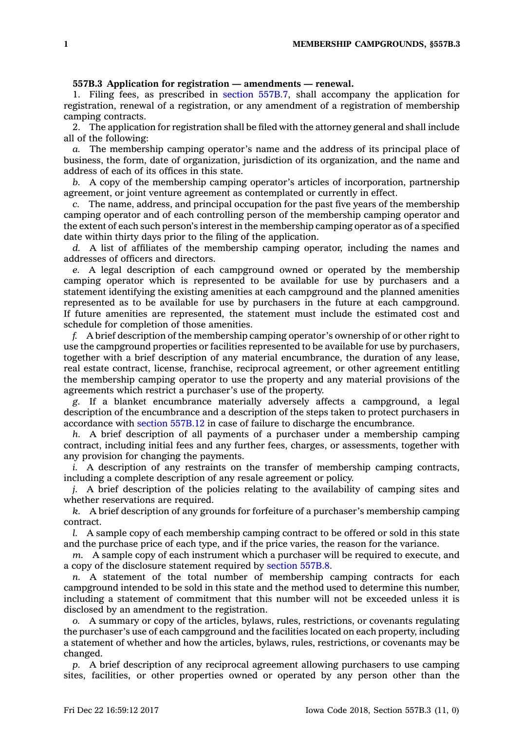## **557B.3 Application for registration — amendments — renewal.**

1. Filing fees, as prescribed in section [557B.7](https://www.legis.iowa.gov/docs/code/557B.7.pdf), shall accompany the application for registration, renewal of <sup>a</sup> registration, or any amendment of <sup>a</sup> registration of membership camping contracts.

2. The application for registration shall be filed with the attorney general and shall include all of the following:

*a.* The membership camping operator's name and the address of its principal place of business, the form, date of organization, jurisdiction of its organization, and the name and address of each of its offices in this state.

*b.* A copy of the membership camping operator's articles of incorporation, partnership agreement, or joint venture agreement as contemplated or currently in effect.

*c.* The name, address, and principal occupation for the past five years of the membership camping operator and of each controlling person of the membership camping operator and the extent of each such person's interest in the membership camping operator as of <sup>a</sup> specified date within thirty days prior to the filing of the application.

*d.* A list of affiliates of the membership camping operator, including the names and addresses of officers and directors.

*e.* A legal description of each campground owned or operated by the membership camping operator which is represented to be available for use by purchasers and <sup>a</sup> statement identifying the existing amenities at each campground and the planned amenities represented as to be available for use by purchasers in the future at each campground. If future amenities are represented, the statement must include the estimated cost and schedule for completion of those amenities.

*f.* A brief description of the membership camping operator's ownership of or other right to use the campground properties or facilities represented to be available for use by purchasers, together with <sup>a</sup> brief description of any material encumbrance, the duration of any lease, real estate contract, license, franchise, reciprocal agreement, or other agreement entitling the membership camping operator to use the property and any material provisions of the agreements which restrict <sup>a</sup> purchaser's use of the property.

*g.* If <sup>a</sup> blanket encumbrance materially adversely affects <sup>a</sup> campground, <sup>a</sup> legal description of the encumbrance and <sup>a</sup> description of the steps taken to protect purchasers in accordance with section [557B.12](https://www.legis.iowa.gov/docs/code/557B.12.pdf) in case of failure to discharge the encumbrance.

*h.* A brief description of all payments of <sup>a</sup> purchaser under <sup>a</sup> membership camping contract, including initial fees and any further fees, charges, or assessments, together with any provision for changing the payments.

*i.* A description of any restraints on the transfer of membership camping contracts, including <sup>a</sup> complete description of any resale agreement or policy.

*j.* A brief description of the policies relating to the availability of camping sites and whether reservations are required.

*k.* A brief description of any grounds for forfeiture of <sup>a</sup> purchaser's membership camping contract.

*l.* A sample copy of each membership camping contract to be offered or sold in this state and the purchase price of each type, and if the price varies, the reason for the variance.

*m.* A sample copy of each instrument which <sup>a</sup> purchaser will be required to execute, and <sup>a</sup> copy of the disclosure statement required by [section](https://www.legis.iowa.gov/docs/code/557B.8.pdf) 557B.8.

*n.* A statement of the total number of membership camping contracts for each campground intended to be sold in this state and the method used to determine this number, including <sup>a</sup> statement of commitment that this number will not be exceeded unless it is disclosed by an amendment to the registration.

*o.* A summary or copy of the articles, bylaws, rules, restrictions, or covenants regulating the purchaser's use of each campground and the facilities located on each property, including <sup>a</sup> statement of whether and how the articles, bylaws, rules, restrictions, or covenants may be changed.

*p.* A brief description of any reciprocal agreement allowing purchasers to use camping sites, facilities, or other properties owned or operated by any person other than the